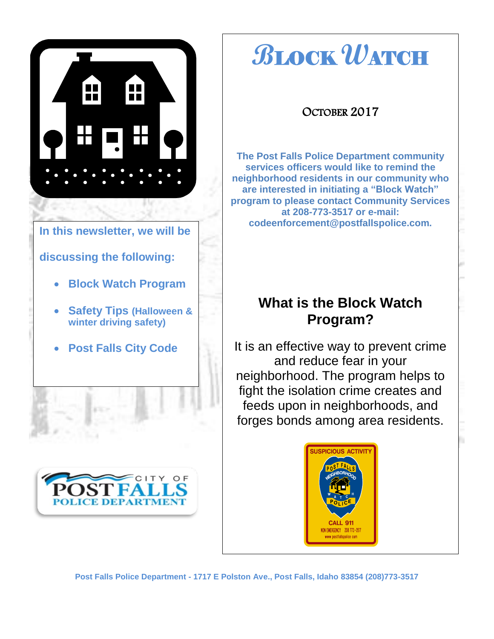



# **B**LOCK **W**ATCH

### OCTOBER 2017

**The Post Falls Police Department community services officers would like to remind the neighborhood residents in our community who are interested in initiating a "Block Watch" program to please contact Community Services at 208-773-3517 or e-mail: codeenforcement@postfallspolice.com.**

## **What is the Block Watch Program?**

It is an effective way to prevent crime and reduce fear in your neighborhood. The program helps to fight the isolation crime creates and feeds upon in neighborhoods, and forges bonds among area residents.

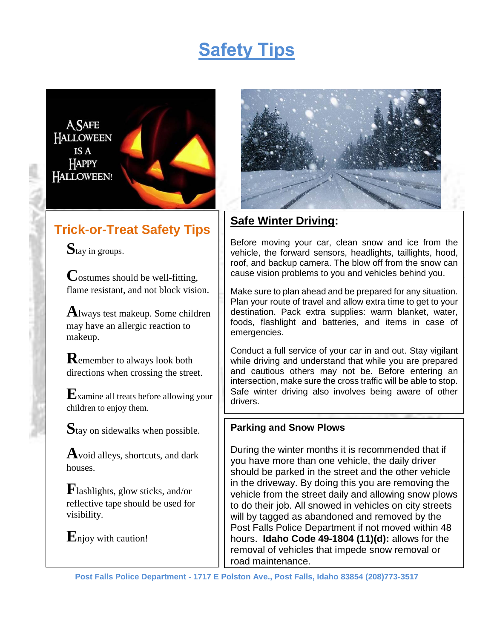# **Safety Tips**

**A SAFE HALLOWEEN** IS A HAPPY HALLOWEEN!

## **Trick-or-Treat Safety Tips**

Stay in groups.

**C**ostumes should be well-fitting, flame resistant, and not block vision.

**A**lways test makeup. Some children may have an allergic reaction to makeup.

**R**emember to always look both directions when crossing the street.

**E**xamine all treats before allowing your children to enjoy them.

**S**tay on sidewalks when possible.

**A**void alleys, shortcuts, and dark houses.

**F**lashlights, glow sticks, and/or reflective tape should be used for visibility.

**E**njoy with caution!



#### **Safe Winter Driving:**

Before moving your car, clean snow and ice from the vehicle, the forward sensors, headlights, taillights, hood, roof, and backup camera. The blow off from the snow can cause vision problems to you and vehicles behind you.

Make sure to plan ahead and be prepared for any situation. Plan your route of travel and allow extra time to get to your destination. Pack extra supplies: warm blanket, water, foods, flashlight and batteries, and items in case of emergencies.

Conduct a full service of your car in and out. Stay vigilant while driving and understand that while you are prepared and cautious others may not be. Before entering an intersection, make sure the cross traffic will be able to stop. Safe winter driving also involves being aware of other drivers.

#### **Parking and Snow Plows**

During the winter months it is recommended that if you have more than one vehicle, the daily driver should be parked in the street and the other vehicle in the driveway. By doing this you are removing the vehicle from the street daily and allowing snow plows to do their job. All snowed in vehicles on city streets will by tagged as abandoned and removed by the Post Falls Police Department if not moved within 48 hours. **Idaho Code 49-1804 (11)(d):** allows for the removal of vehicles that impede snow removal or road maintenance.